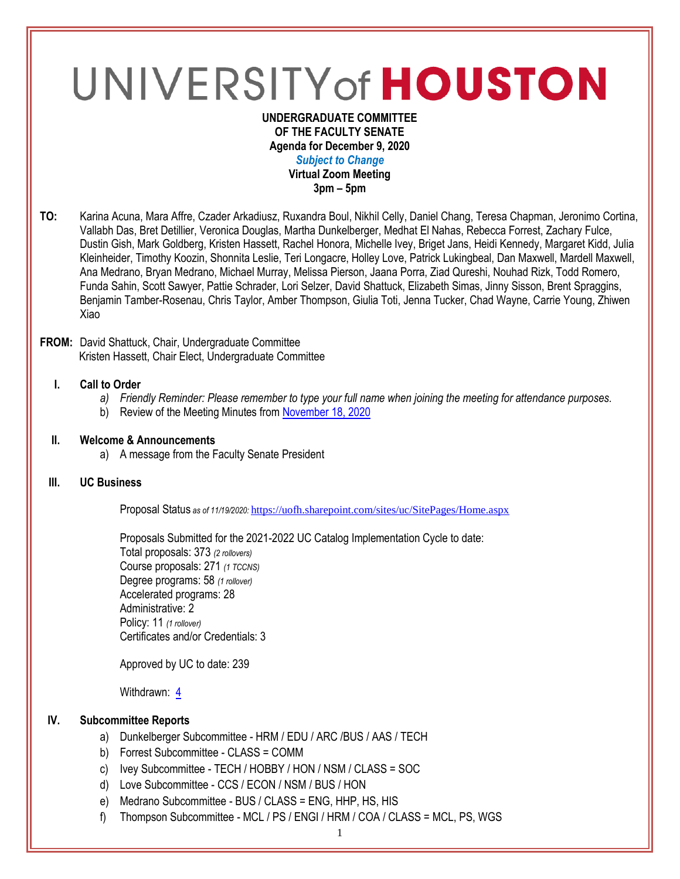# UNIVERSITY of HOUSTON

#### **UNDERGRADUATE COMMITTEE OF THE FACULTY SENATE Agenda for December 9, 2020** *Subject to Change* **Virtual Zoom Meeting 3pm – 5pm**

**TO:** Karina Acuna, Mara Affre, Czader Arkadiusz, Ruxandra Boul, Nikhil Celly, Daniel Chang, Teresa Chapman, Jeronimo Cortina, Vallabh Das, Bret Detillier, Veronica Douglas, Martha Dunkelberger, Medhat El Nahas, Rebecca Forrest, Zachary Fulce, Dustin Gish, Mark Goldberg, Kristen Hassett, Rachel Honora, Michelle Ivey, Briget Jans, Heidi Kennedy, Margaret Kidd, Julia Kleinheider, Timothy Koozin, Shonnita Leslie, Teri Longacre, Holley Love, Patrick Lukingbeal, Dan Maxwell, Mardell Maxwell, Ana Medrano, Bryan Medrano, Michael Murray, Melissa Pierson, Jaana Porra, Ziad Qureshi, Nouhad Rizk, Todd Romero, Funda Sahin, Scott Sawyer, Pattie Schrader, Lori Selzer, David Shattuck, Elizabeth Simas, Jinny Sisson, Brent Spraggins, Benjamin Tamber-Rosenau, Chris Taylor, Amber Thompson, Giulia Toti, Jenna Tucker, Chad Wayne, Carrie Young, Zhiwen Xiao

## **FROM:** David Shattuck, Chair, Undergraduate Committee Kristen Hassett, Chair Elect, Undergraduate Committee

## **I. Call to Order**

- *a) Friendly Reminder: Please remember to type your full name when joining the meeting for attendance purposes.*
- b) Review of the Meeting Minutes from [November](https://uh.edu/undergraduate-committee/meetings/agendas-minutes/ay-2021/m_2020_1118.pdf) 18, 2020

## **II. Welcome & Announcements**

a) A message from the Faculty Senate President

## **III. UC Business**

Proposal Status *as of 11/19/2020:* <https://uofh.sharepoint.com/sites/uc/SitePages/Home.aspx>

Proposals Submitted for the 2021-2022 UC Catalog Implementation Cycle to date: Total proposals: 373 *(2 rollovers)* Course proposals: 271 *(1 TCCNS)* Degree programs: 58 *(1 rollover)* Accelerated programs: 28 Administrative: 2 Policy: 11 *(1 rollover)* Certificates and/or Credentials: 3

Approved by UC to date: 239

Withdrawn: [4](https://uofh.sharepoint.com/sites/uc/Lists/ProposalSubmissionAndTracking/Submitted%20Proposals%20%20Current%20Year%20%20Grouped.aspx?FilterField1=Proposal%5Fx0020%5FStatus&FilterValue1=Withdrawn%20%2D%20See%20Proposal%20Notes&FilterType1=Choice&viewid=3e8f7d7c%2Dd8a4%2D43cd%2D8f0e%2D60cc2ac81fe6)

## **IV. Subcommittee Reports**

- a) Dunkelberger Subcommittee HRM / EDU / ARC /BUS / AAS / TECH
- b) Forrest Subcommittee CLASS = COMM
- c) Ivey Subcommittee TECH / HOBBY / HON / NSM / CLASS = SOC
- d) Love Subcommittee CCS / ECON / NSM / BUS / HON
- e) Medrano Subcommittee BUS / CLASS = ENG, HHP, HS, HIS
- f) Thompson Subcommittee MCL / PS / ENGI / HRM / COA / CLASS = MCL, PS, WGS